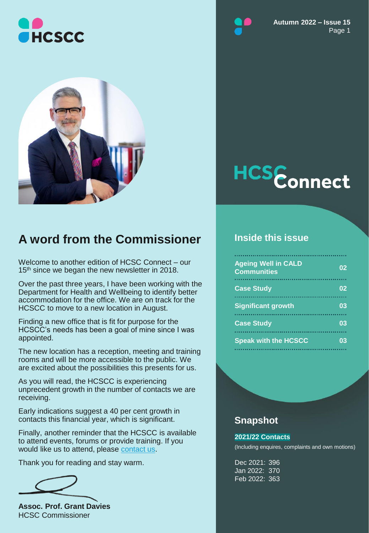



### **A word from the Commissioner**

Welcome to another edition of HCSC Connect – our 15<sup>th</sup> since we began the new newsletter in 2018.

Over the past three years, I have been working with the Department for Health and Wellbeing to identify better accommodation for the office. We are on track for the HCSCC to move to a new location in August.

Finding a new office that is fit for purpose for the HCSCC's needs has been a goal of mine since I was appointed.

The new location has a reception, meeting and training rooms and will be more accessible to the public. We are excited about the possibilities this presents for us.

As you will read, the HCSCC is experiencing unprecedent growth in the number of contacts we are receiving.

Early indications suggest a 40 per cent growth in contacts this financial year, which is significant.

Finally, another reminder that the HCSCC is available to attend events, forums or provide training. If you would like us to attend, please [contact us](https://www.hcscc.sa.gov.au/contacts/).

Thank you for reading and stay warm.

**Assoc. Prof. Grant Davies** HCSC Commissioner





#### **Inside this issue**

| <b>Ageing Well in CALD</b><br><b>Communities</b> | 02 |
|--------------------------------------------------|----|
| <b>Case Study</b>                                |    |
| <b>Significant growth</b>                        | 03 |
| <b>Case Study</b>                                | 03 |
| <b>Speak with the HCSCC</b>                      |    |

#### **Snapshot**

#### **2021/22 Contacts**

(Including enquires, complaints and own motions)

Dec 2021: 396 Jan 2022: 370 Feb 2022: 363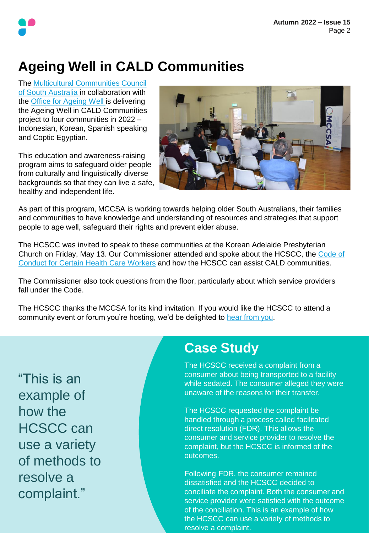# **Ageing Well in CALD Communities**

The [Multicultural Communities Council](https://www.mccsa.org.au/)  [of South Australia i](https://www.facebook.com/MCCofSA/)n collaboration with the [Office for Ageing Well i](https://www.sahealth.sa.gov.au/wps/wcm/connect/public+content/sa+health+internet/about+us/department+for+health+and+wellbeing/office+for+ageing+well/office+for+ageing+well)s delivering the Ageing Well in CALD Communities project to four communities in 2022 – Indonesian, Korean, Spanish speaking and Coptic Egyptian.

This education and awareness-raising program aims to safeguard older people from culturally and linguistically diverse backgrounds so that they can live a safe, healthy and independent life.



As part of this program, MCCSA is working towards helping older South Australians, their families and communities to have knowledge and understanding of resources and strategies that support people to age well, safeguard their rights and prevent elder abuse.

The HCSCC was invited to speak to these communities at the Korean Adelaide Presbyterian [Church on Friday, May 13. Our Commissioner attended and spoke about the HCSCC, the Code of](https://www.hcscc.sa.gov.au/code-of-conduct-for-unregistered-health-practitioners/)  Conduct for Certain Health Care Workers and how the HCSCC can assist CALD communities.

The Commissioner also took questions from the floor, particularly about which service providers fall under the Code.

The HCSCC thanks the MCCSA for its kind invitation. If you would like the HCSCC to attend a community event or forum you're hosting, we'd be delighted to [hear from you.](https://www.hcscc.sa.gov.au/contacts/)

"This is an example of how the HCSCC can use a variety of methods to resolve a complaint."

### **Case Study**

The HCSCC received a complaint from a consumer about being transported to a facility while sedated. The consumer alleged they were unaware of the reasons for their transfer.

The HCSCC requested the complaint be handled through a process called facilitated direct resolution (FDR). This allows the consumer and service provider to resolve the complaint, but the HCSCC is informed of the outcomes.

Following FDR, the consumer remained dissatisfied and the HCSCC decided to conciliate the complaint. Both the consumer and service provider were satisfied with the outcome of the conciliation. This is an example of how the HCSCC can use a variety of methods to resolve a complaint.